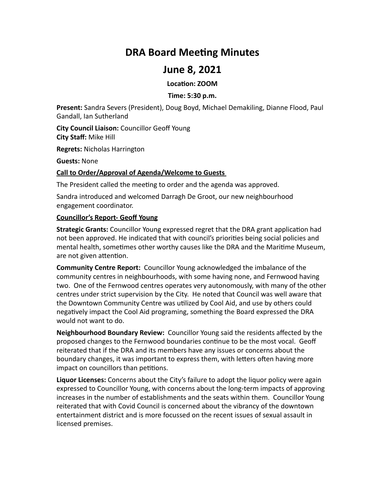# **DRA Board Meeting Minutes**

# **June 8, 2021**

**Location: ZOOM**

# **Time: 5:30 p.m.**

**Present:** Sandra Severs (President), Doug Boyd, Michael Demakiling, Dianne Flood, Paul Gandall, Ian Sutherland

**City Council Liaison:** Councillor Geoff Young **City Staff:** Mike Hill

**Regrets: Nicholas Harrington** 

**Guests:** None

# **Call to Order/Approval of Agenda/Welcome to Guests**

The President called the meeting to order and the agenda was approved.

Sandra introduced and welcomed Darragh De Groot, our new neighbourhood engagement coordinator.

# **Councillor's Report- Geoff Young**

**Strategic Grants:** Councillor Young expressed regret that the DRA grant application had not been approved. He indicated that with council's priorities being social policies and mental health, sometimes other worthy causes like the DRA and the Maritime Museum, are not given attention.

**Community Centre Report:** Councillor Young acknowledged the imbalance of the community centres in neighbourhoods, with some having none, and Fernwood having two. One of the Fernwood centres operates very autonomously, with many of the other centres under strict supervision by the City. He noted that Council was well aware that the Downtown Community Centre was utilized by Cool Aid, and use by others could negatively impact the Cool Aid programing, something the Board expressed the DRA would not want to do.

**Neighbourhood Boundary Review:** Councillor Young said the residents affected by the proposed changes to the Fernwood boundaries continue to be the most vocal. Geoff reiterated that if the DRA and its members have any issues or concerns about the boundary changes, it was important to express them, with letters often having more impact on councillors than petitions.

**Liquor Licenses:** Concerns about the City's failure to adopt the liquor policy were again expressed to Councillor Young, with concerns about the long-term impacts of approving increases in the number of establishments and the seats within them. Councillor Young reiterated that with Covid Council is concerned about the vibrancy of the downtown entertainment district and is more focussed on the recent issues of sexual assault in licensed premises.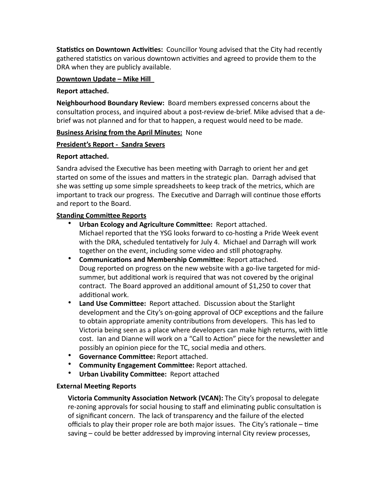**Statistics on Downtown Activities:** Councillor Young advised that the City had recently gathered statistics on various downtown activities and agreed to provide them to the DRA when they are publicly available.

# **Downtown Update - Mike Hill**

#### **Report attached.**

**Neighbourhood Boundary Review:** Board members expressed concerns about the consultation process, and inquired about a post-review de-brief. Mike advised that a debrief was not planned and for that to happen, a request would need to be made.

# **Business Arising from the April Minutes: None**

# **President's Report - Sandra Severs**

#### **Report attached.**

Sandra advised the Executive has been meeting with Darragh to orient her and get started on some of the issues and matters in the strategic plan. Darragh advised that she was setting up some simple spreadsheets to keep track of the metrics, which are important to track our progress. The Executive and Darragh will continue those efforts and report to the Board.

# **Standing Committee Reports**

- Urban Ecology and Agriculture Committee: Report attached. Michael reported that the YSG looks forward to co-hosting a Pride Week event with the DRA, scheduled tentatively for July 4. Michael and Darragh will work together on the event, including some video and still photography.
- **Communications and Membership Committee: Report attached.** Doug reported on progress on the new website with a go-live targeted for midsummer, but additional work is required that was not covered by the original contract. The Board approved an additional amount of \$1,250 to cover that additional work.
- Land Use Committee: Report attached. Discussion about the Starlight development and the City's on-going approval of OCP exceptions and the failure to obtain appropriate amenity contributions from developers. This has led to Victoria being seen as a place where developers can make high returns, with little cost. Ian and Dianne will work on a "Call to Action" piece for the newsletter and possibly an opinion piece for the TC, social media and others.
- **Governance Committee:** Report attached.
- **Community Engagement Committee:** Report attached.
- **Urban Livability Committee:** Report attached

# **External Meeting Reports**

**Victoria Community Association Network (VCAN):** The City's proposal to delegate re-zoning approvals for social housing to staff and eliminating public consultation is of significant concern. The lack of transparency and the failure of the elected officials to play their proper role are both major issues. The City's rationale  $-$  time saving – could be better addressed by improving internal City review processes,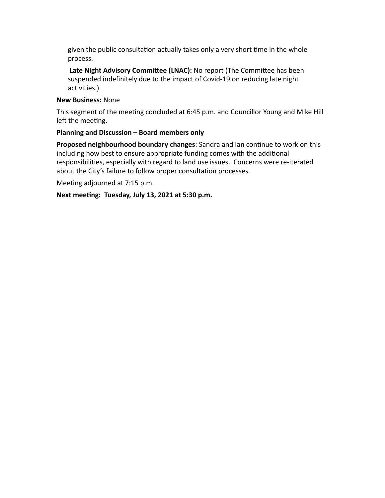given the public consultation actually takes only a very short time in the whole process. 

Late Night Advisory Committee (LNAC): No report (The Committee has been suspended indefinitely due to the impact of Covid-19 on reducing late night activities.) 

# **New Business:** None

This segment of the meeting concluded at 6:45 p.m. and Councillor Young and Mike Hill left the meeting.

# **Planning and Discussion – Board members only**

**Proposed neighbourhood boundary changes**: Sandra and Ian continue to work on this including how best to ensure appropriate funding comes with the additional responsibilities, especially with regard to land use issues. Concerns were re-iterated about the City's failure to follow proper consultation processes.

Meeting adjourned at 7:15 p.m.

Next meeting: Tuesday, July 13, 2021 at 5:30 p.m.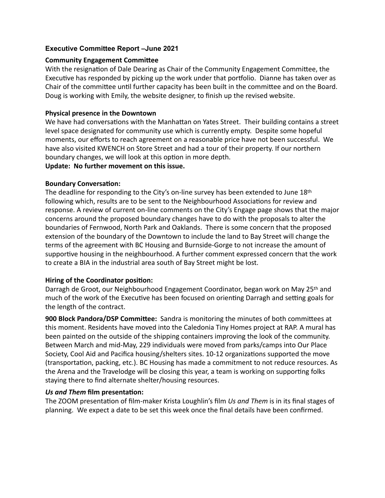# **Executive Committee Report –June 2021**

# **Community Engagement Committee**

With the resignation of Dale Dearing as Chair of the Community Engagement Committee, the Executive has responded by picking up the work under that portfolio. Dianne has taken over as Chair of the committee until further capacity has been built in the committee and on the Board. Doug is working with Emily, the website designer, to finish up the revised website.

# **Physical presence in the Downtown**

We have had conversations with the Manhattan on Yates Street. Their building contains a street level space designated for community use which is currently empty. Despite some hopeful moments, our efforts to reach agreement on a reasonable price have not been successful. We have also visited KWENCH on Store Street and had a tour of their property. If our northern boundary changes, we will look at this option in more depth. Update: No further movement on this issue.

# **Boundary Conversation:**

The deadline for responding to the City's on-line survey has been extended to June  $18<sup>th</sup>$ following which, results are to be sent to the Neighbourhood Associations for review and response. A review of current on-line comments on the City's Engage page shows that the major concerns around the proposed boundary changes have to do with the proposals to alter the boundaries of Fernwood, North Park and Oaklands. There is some concern that the proposed extension of the boundary of the Downtown to include the land to Bay Street will change the terms of the agreement with BC Housing and Burnside-Gorge to not increase the amount of supportive housing in the neighbourhood. A further comment expressed concern that the work to create a BIA in the industrial area south of Bay Street might be lost.

# Hiring of the Coordinator position:

Darragh de Groot, our Neighbourhood Engagement Coordinator, began work on May 25<sup>th</sup> and much of the work of the Executive has been focused on orienting Darragh and setting goals for the length of the contract.

**900 Block Pandora/DSP Committee:** Sandra is monitoring the minutes of both committees at this moment. Residents have moved into the Caledonia Tiny Homes project at RAP. A mural has been painted on the outside of the shipping containers improving the look of the community. Between March and mid-May, 229 individuals were moved from parks/camps into Our Place Society, Cool Aid and Pacifica housing/shelters sites. 10-12 organizations supported the move (transportation, packing, etc.). BC Housing has made a commitment to not reduce resources. As the Arena and the Travelodge will be closing this year, a team is working on supporting folks staying there to find alternate shelter/housing resources.

# *Us and Them* **film presentation:**

The ZOOM presentation of film-maker Krista Loughlin's film *Us and Them* is in its final stages of planning. We expect a date to be set this week once the final details have been confirmed.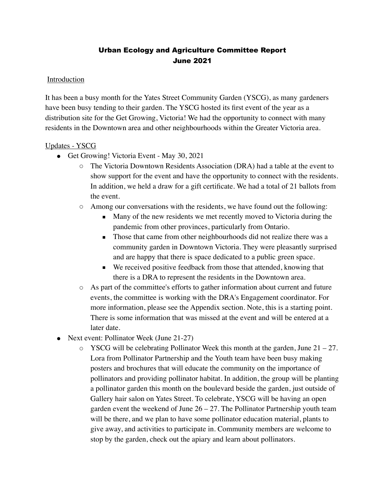# Urban Ecology and Agriculture Committee Report June 2021

# **Introduction**

It has been a busy month for the Yates Street Community Garden (YSCG), as many gardeners have been busy tending to their garden. The YSCG hosted its first event of the year as a distribution site for the Get Growing, Victoria! We had the opportunity to connect with many residents in the Downtown area and other neighbourhoods within the Greater Victoria area.

# Updates - YSCG

- Get Growing! Victoria Event May 30, 2021
	- The Victoria Downtown Residents Association (DRA) had a table at the event to show support for the event and have the opportunity to connect with the residents. In addition, we held a draw for a gift certificate. We had a total of 21 ballots from the event.
	- Among our conversations with the residents, we have found out the following:
		- Many of the new residents we met recently moved to Victoria during the pandemic from other provinces, particularly from Ontario.
		- Those that came from other neighbourhoods did not realize there was a community garden in Downtown Victoria. They were pleasantly surprised and are happy that there is space dedicated to a public green space.
		- We received positive feedback from those that attended, knowing that there is a DRA to represent the residents in the Downtown area.
	- As part of the committee's efforts to gather information about current and future events, the committee is working with the DRA's Engagement coordinator. For more information, please see the Appendix section. Note, this is a starting point. There is some information that was missed at the event and will be entered at a later date.
- Next event: Pollinator Week (June 21-27)
	- $\circ$  YSCG will be celebrating Pollinator Week this month at the garden, June 21 27. Lora from Pollinator Partnership and the Youth team have been busy making posters and brochures that will educate the community on the importance of pollinators and providing pollinator habitat. In addition, the group will be planting a pollinator garden this month on the boulevard beside the garden, just outside of Gallery hair salon on Yates Street. To celebrate, YSCG will be having an open garden event the weekend of June  $26 - 27$ . The Pollinator Partnership youth team will be there, and we plan to have some pollinator education material, plants to give away, and activities to participate in. Community members are welcome to stop by the garden, check out the apiary and learn about pollinators.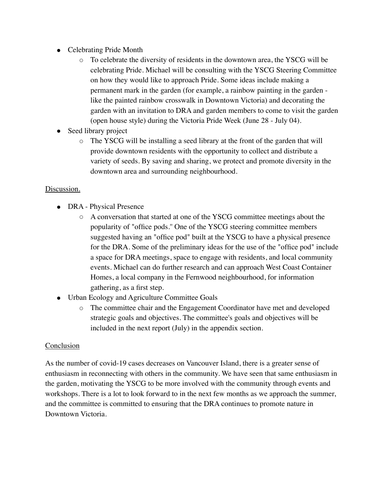- Celebrating Pride Month
	- $\circ$  To celebrate the diversity of residents in the downtown area, the YSCG will be celebrating Pride. Michael will be consulting with the YSCG Steering Committee on how they would like to approach Pride. Some ideas include making a permanent mark in the garden (for example, a rainbow painting in the garden like the painted rainbow crosswalk in Downtown Victoria) and decorating the garden with an invitation to DRA and garden members to come to visit the garden (open house style) during the Victoria Pride Week (June 28 - July 04).
- Seed library project
	- The YSCG will be installing a seed library at the front of the garden that will provide downtown residents with the opportunity to collect and distribute a variety of seeds. By saving and sharing, we protect and promote diversity in the downtown area and surrounding neighbourhood.

# Discussion.

- DRA Physical Presence
	- A conversation that started at one of the YSCG committee meetings about the popularity of "office pods.'' One of the YSCG steering committee members suggested having an "office pod" built at the YSCG to have a physical presence for the DRA. Some of the preliminary ideas for the use of the "office pod" include a space for DRA meetings, space to engage with residents, and local community events. Michael can do further research and can approach West Coast Container Homes, a local company in the Fernwood neighbourhood, for information gathering, as a first step.
- Urban Ecology and Agriculture Committee Goals
	- The committee chair and the Engagement Coordinator have met and developed strategic goals and objectives. The committee's goals and objectives will be included in the next report (July) in the appendix section.

# Conclusion

As the number of covid-19 cases decreases on Vancouver Island, there is a greater sense of enthusiasm in reconnecting with others in the community. We have seen that same enthusiasm in the garden, motivating the YSCG to be more involved with the community through events and workshops. There is a lot to look forward to in the next few months as we approach the summer, and the committee is committed to ensuring that the DRA continues to promote nature in Downtown Victoria.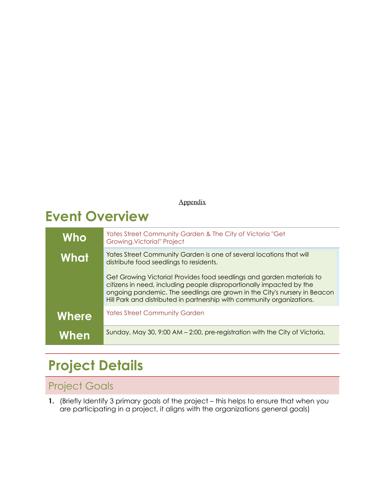# Appendix

# **Event Overview**

| Who   | Yates Street Community Garden & The City of Victoria "Get<br>Growing, Victoria!" Project                                                                                                                                                                                                             |
|-------|------------------------------------------------------------------------------------------------------------------------------------------------------------------------------------------------------------------------------------------------------------------------------------------------------|
| What  | Yates Street Community Garden is one of several locations that will<br>distribute food seedlings to residents.                                                                                                                                                                                       |
|       | Get Growing Victoria! Provides food seedlings and garden materials to<br>citizens in need, including people disproportionally impacted by the<br>ongoing pandemic. The seedlings are grown in the City's nursery in Beacon<br>Hill Park and distributed in partnership with community organizations. |
| Where | <b>Yates Street Community Garden</b>                                                                                                                                                                                                                                                                 |
| When  | Sunday, May 30, 9:00 AM – 2:00, pre-registration with the City of Victoria.                                                                                                                                                                                                                          |

# **Project Details**

# Project Goals

**1.** (Briefly Identify 3 primary goals of the project – this helps to ensure that when you are participating in a project, it aligns with the organizations general goals)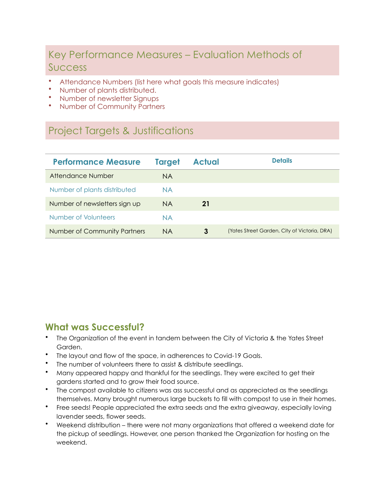# Key Performance Measures – Evaluation Methods of Success

- Attendance Numbers (list here what goals this measure indicates)
- Number of plants distributed.
- Number of newsletter Signups
- Number of Community Partners

# Project Targets & Justifications

| <b>Performance Measure</b>          | <b>Target</b> | <b>Actual</b> | <b>Details</b>                               |
|-------------------------------------|---------------|---------------|----------------------------------------------|
| Attendance Number                   | NA            |               |                                              |
| Number of plants distributed        | <b>NA</b>     |               |                                              |
| Number of newsletters sign up       | <b>NA</b>     | 21            |                                              |
| Number of Volunteers                | <b>NA</b>     |               |                                              |
| <b>Number of Community Partners</b> | <b>NA</b>     | 3             | (Yates Street Garden, City of Victoria, DRA) |

# **What was Successful?**

- The Organization of the event in tandem between the City of Victoria & the Yates Street Garden.
- The layout and flow of the space, in adherences to Covid-19 Goals.
- The number of volunteers there to assist & distribute seedlings.
- Many appeared happy and thankful for the seedlings. They were excited to get their gardens started and to grow their food source.
- The compost available to citizens was ass successful and as appreciated as the seedlings themselves. Many brought numerous large buckets to fill with compost to use in their homes.
- Free seeds! People appreciated the extra seeds and the extra giveaway, especially loving lavender seeds, flower seeds.
- Weekend distribution there were not many organizations that offered a weekend date for the pickup of seedlings. However, one person thanked the Organization for hosting on the weekend.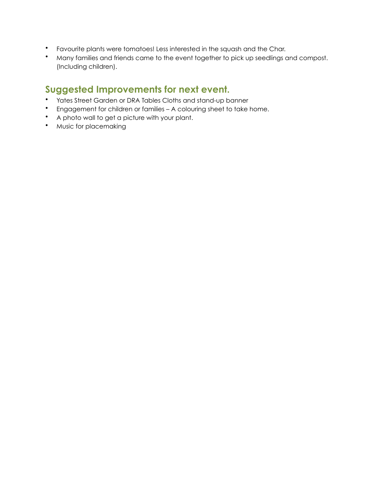- Favourite plants were tomatoes! Less interested in the squash and the Char.
- Many families and friends came to the event together to pick up seedlings and compost. (Including children).

# **Suggested Improvements for next event.**

- Yates Street Garden or DRA Tables Cloths and stand-up banner
- Engagement for children or families A colouring sheet to take home.
- A photo wall to get a picture with your plant.
- Music for placemaking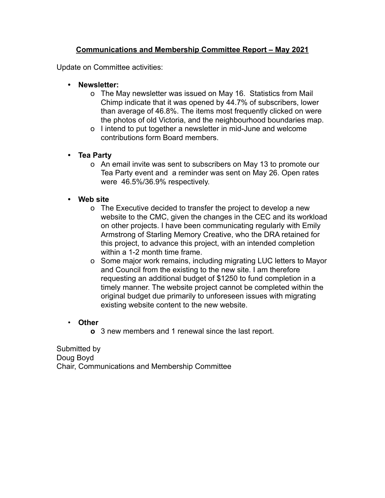# **Communications and Membership Committee Report – May 2021**

Update on Committee activities:

- **• Newsletter:**
	- o The May newsletter was issued on May 16. Statistics from Mail Chimp indicate that it was opened by 44.7% of subscribers, lower than average of 46.8%. The items most frequently clicked on were the photos of old Victoria, and the neighbourhood boundaries map.
	- o I intend to put together a newsletter in mid-June and welcome contributions form Board members.

# **• Tea Party**

- o An email invite was sent to subscribers on May 13 to promote our Tea Party event and a reminder was sent on May 26. Open rates were 46.5%/36.9% respectively.
- **• Web site**
	- o The Executive decided to transfer the project to develop a new website to the CMC, given the changes in the CEC and its workload on other projects. I have been communicating regularly with Emily Armstrong of Starling Memory Creative, who the DRA retained for this project, to advance this project, with an intended completion within a 1-2 month time frame.
	- o Some major work remains, including migrating LUC letters to Mayor and Council from the existing to the new site. I am therefore requesting an additional budget of \$1250 to fund completion in a timely manner. The website project cannot be completed within the original budget due primarily to unforeseen issues with migrating existing website content to the new website.

# • **Other**

**o** 3 new members and 1 renewal since the last report.

Submitted by Doug Boyd Chair, Communications and Membership Committee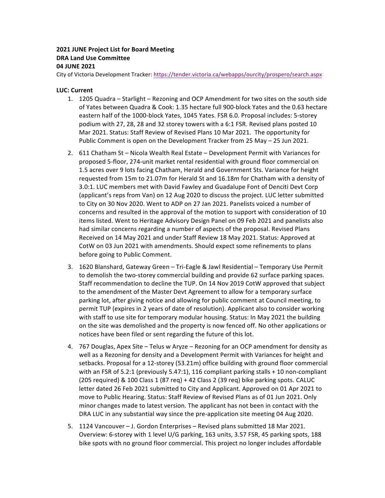# **2021 JUNE Project List for Board Meeting DRA Land Use Committee 04 JUNE 2021**

City of Victoria Development Tracker: https://tender.victoria.ca/webapps/ourcity/prospero/search.aspx

#### **LUC: Current**

- 1. 1205 Quadra Starlight Rezoning and OCP Amendment for two sites on the south side of Yates between Quadra & Cook: 1.35 hectare full 900-block Yates and the 0.63 hectare eastern half of the 1000-block Yates, 1045 Yates. FSR 6.0. Proposal includes: 5-storey podium with 27, 28, 28 and 32 storey towers with a 6:1 FSR. Revised plans posted 10 Mar 2021. Status: Staff Review of Revised Plans 10 Mar 2021. The opportunity for Public Comment is open on the Development Tracker from 25 May – 25 Jun 2021.
- 2. 611 Chatham St Nicola Wealth Real Estate Development Permit with Variances for proposed 5-floor, 274-unit market rental residential with ground floor commercial on 1.5 acres over 9 lots facing Chatham, Herald and Government Sts. Variance for height requested from 15m to 21.07m for Herald St and 16.18m for Chatham with a density of 3.0:1. LUC members met with David Fawley and Guadalupe Font of Denciti Devt Corp (applicant's reps from Van) on 12 Aug 2020 to discuss the project. LUC letter submitted to City on 30 Nov 2020. Went to ADP on 27 Jan 2021. Panelists voiced a number of concerns and resulted in the approval of the motion to support with consideration of 10 items listed. Went to Heritage Advisory Design Panel on 09 Feb 2021 and panelists also had similar concerns regarding a number of aspects of the proposal. Revised Plans Received on 14 May 2021 and under Staff Review 18 May 2021. Status: Approved at CotW on 03 Jun 2021 with amendments. Should expect some refinements to plans before going to Public Comment.
- 3. 1620 Blanshard, Gateway Green Tri-Eagle & Jawl Residential Temporary Use Permit to demolish the two-storey commercial building and provide 62 surface parking spaces. Staff recommendation to decline the TUP. On 14 Nov 2019 CotW approved that subject to the amendment of the Master Devt Agreement to allow for a temporary surface parking lot, after giving notice and allowing for public comment at Council meeting, to permit TUP (expires in 2 years of date of resolution). Applicant also to consider working with staff to use site for temporary modular housing. Status: In May 2021 the building on the site was demolished and the property is now fenced off. No other applications or notices have been filed or sent regarding the future of this lot.
- 4. 767 Douglas, Apex Site Telus w Aryze Rezoning for an OCP amendment for density as well as a Rezoning for density and a Development Permit with Variances for height and setbacks. Proposal for a 12-storey (53.21m) office building with ground floor commercial with an FSR of 5.2:1 (previously 5.47:1), 116 compliant parking stalls  $+$  10 non-compliant (205 required) & 100 Class 1 (87 req) + 42 Class 2 (39 req) bike parking spots. CALUC letter dated 26 Feb 2021 submitted to City and Applicant. Approved on 01 Apr 2021 to move to Public Hearing. Status: Staff Review of Revised Plans as of 01 Jun 2021. Only minor changes made to latest version. The applicant has not been in contact with the DRA LUC in any substantial way since the pre-application site meeting 04 Aug 2020.
- 5. 1124 Vancouver J. Gordon Enterprises Revised plans submitted 18 Mar 2021. Overview: 6-storey with 1 level U/G parking, 163 units, 3.57 FSR, 45 parking spots, 188 bike spots with no ground floor commercial. This project no longer includes affordable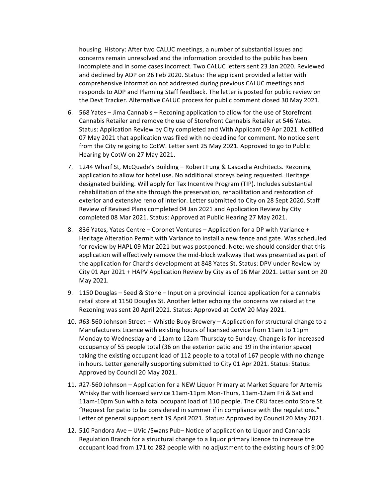housing. History: After two CALUC meetings, a number of substantial issues and concerns remain unresolved and the information provided to the public has been incomplete and in some cases incorrect. Two CALUC letters sent 23 Jan 2020. Reviewed and declined by ADP on 26 Feb 2020. Status: The applicant provided a letter with comprehensive information not addressed during previous CALUC meetings and responds to ADP and Planning Staff feedback. The letter is posted for public review on the Devt Tracker. Alternative CALUC process for public comment closed 30 May 2021.

- 6. 568 Yates Jima Cannabis Rezoning application to allow for the use of Storefront Cannabis Retailer and remove the use of Storefront Cannabis Retailer at 546 Yates. Status: Application Review by City completed and With Applicant 09 Apr 2021. Notified 07 May 2021 that application was filed with no deadline for comment. No notice sent from the City re going to CotW. Letter sent 25 May 2021. Approved to go to Public Hearing by CotW on 27 May 2021.
- 7. 1244 Wharf St, McQuade's Building Robert Fung & Cascadia Architects. Rezoning application to allow for hotel use. No additional storeys being requested. Heritage designated building. Will apply for Tax Incentive Program (TIP). Includes substantial rehabilitation of the site through the preservation, rehabilitation and restoration of exterior and extensive reno of interior. Letter submitted to City on 28 Sept 2020. Staff Review of Revised Plans completed 04 Jan 2021 and Application Review by City completed 08 Mar 2021. Status: Approved at Public Hearing 27 May 2021.
- 8. 836 Yates, Yates Centre Coronet Ventures Application for a DP with Variance + Heritage Alteration Permit with Variance to install a new fence and gate. Was scheduled for review by HAPL 09 Mar 2021 but was postponed. Note: we should consider that this application will effectively remove the mid-block walkway that was presented as part of the application for Chard's development at 848 Yates St. Status: DPV under Review by City 01 Apr 2021 + HAPV Application Review by City as of 16 Mar 2021. Letter sent on 20 May 2021.
- 9. 1150 Douglas Seed & Stone Input on a provincial licence application for a cannabis retail store at 1150 Douglas St. Another letter echoing the concerns we raised at the Rezoning was sent 20 April 2021. Status: Approved at CotW 20 May 2021.
- 10. #63-560 Johnson Street Whistle Buoy Brewery Application for structural change to a Manufacturers Licence with existing hours of licensed service from 11am to 11pm Monday to Wednesday and 11am to 12am Thursday to Sunday. Change is for increased occupancy of 55 people total (36 on the exterior patio and 19 in the interior space) taking the existing occupant load of 112 people to a total of 167 people with no change in hours. Letter generally supporting submitted to City 01 Apr 2021. Status: Status: Approved by Council 20 May 2021.
- 11. #27-560 Johnson Application for a NEW Liquor Primary at Market Square for Artemis Whisky Bar with licensed service 11am-11pm Mon-Thurs, 11am-12am Fri & Sat and 11am-10pm Sun with a total occupant load of 110 people. The CRU faces onto Store St. "Request for patio to be considered in summer if in compliance with the regulations." Letter of general support sent 19 April 2021. Status: Approved by Council 20 May 2021.
- 12. 510 Pandora Ave UVic /Swans Pub– Notice of application to Liquor and Cannabis Regulation Branch for a structural change to a liquor primary licence to increase the occupant load from 171 to 282 people with no adjustment to the existing hours of 9:00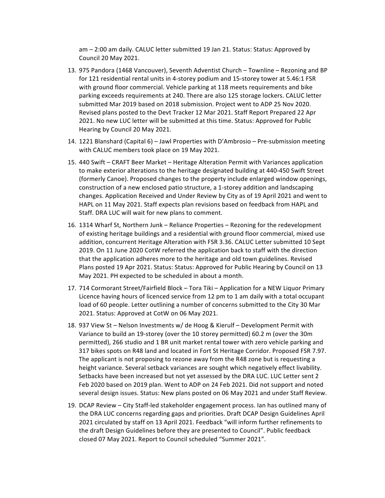am  $-$  2:00 am daily. CALUC letter submitted 19 Jan 21. Status: Status: Approved by Council 20 May 2021.

- 13. 975 Pandora (1468 Vancouver), Seventh Adventist Church Townline Rezoning and BP for 121 residential rental units in 4-storey podium and 15-storey tower at 5.46:1 FSR with ground floor commercial. Vehicle parking at 118 meets requirements and bike parking exceeds requirements at 240. There are also 125 storage lockers. CALUC letter submitted Mar 2019 based on 2018 submission. Project went to ADP 25 Nov 2020. Revised plans posted to the Devt Tracker 12 Mar 2021. Staff Report Prepared 22 Apr 2021. No new LUC letter will be submitted at this time. Status: Approved for Public Hearing by Council 20 May 2021.
- 14. 1221 Blanshard (Capital 6) Jawl Properties with D'Ambrosio Pre-submission meeting with CALUC members took place on 19 May 2021.
- 15. 440 Swift CRAFT Beer Market Heritage Alteration Permit with Variances application to make exterior alterations to the heritage designated building at 440-450 Swift Street (formerly Canoe). Proposed changes to the property include enlarged window openings, construction of a new enclosed patio structure, a 1-storey addition and landscaping changes. Application Received and Under Review by City as of 19 April 2021 and went to HAPL on 11 May 2021. Staff expects plan revisions based on feedback from HAPL and Staff. DRA LUC will wait for new plans to comment.
- 16. 1314 Wharf St, Northern Junk Reliance Properties Rezoning for the redevelopment of existing heritage buildings and a residential with ground floor commercial, mixed use addition, concurrent Heritage Alteration with FSR 3.36. CALUC Letter submitted 10 Sept 2019. On 11 June 2020 CotW referred the application back to staff with the direction that the application adheres more to the heritage and old town guidelines. Revised Plans posted 19 Apr 2021. Status: Status: Approved for Public Hearing by Council on 13 May 2021. PH expected to be scheduled in about a month.
- 17. 714 Cormorant Street/Fairfield Block Tora Tiki Application for a NEW Liquor Primary Licence having hours of licenced service from 12 pm to 1 am daily with a total occupant load of 60 people. Letter outlining a number of concerns submitted to the City 30 Mar 2021. Status: Approved at CotW on 06 May 2021.
- 18. 937 View St Nelson Investments w/ de Hoog & Kierulf Development Permit with Variance to build an 19-storey (over the 10 storey permitted) 60.2 m (over the 30m permitted), 266 studio and 1 BR unit market rental tower with zero vehicle parking and 317 bikes spots on R48 land and located in Fort St Heritage Corridor. Proposed FSR 7.97. The applicant is not proposing to rezone away from the R48 zone but is requesting a height variance. Several setback variances are sought which negatively effect livability. Setbacks have been increased but not yet assessed by the DRA LUC. LUC Letter sent 2 Feb 2020 based on 2019 plan. Went to ADP on 24 Feb 2021. Did not support and noted several design issues. Status: New plans posted on 06 May 2021 and under Staff Review.
- 19. DCAP Review City Staff-led stakeholder engagement process. Ian has outlined many of the DRA LUC concerns regarding gaps and priorities. Draft DCAP Design Guidelines April 2021 circulated by staff on 13 April 2021. Feedback "will inform further refinements to the draft Design Guidelines before they are presented to Council". Public feedback closed 07 May 2021. Report to Council scheduled "Summer 2021".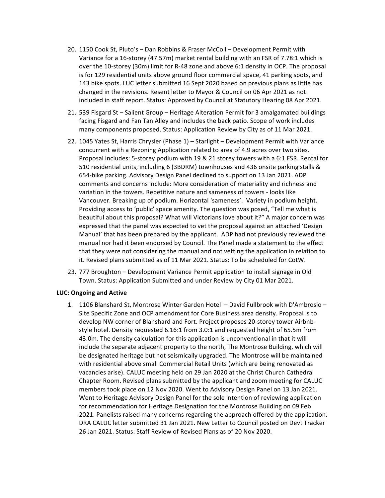- 20. 1150 Cook St, Pluto's Dan Robbins & Fraser McColl Development Permit with Variance for a 16-storey (47.57m) market rental building with an FSR of 7.78:1 which is over the 10-storey (30m) limit for R-48 zone and above 6:1 density in OCP. The proposal is for 129 residential units above ground floor commercial space, 41 parking spots, and 143 bike spots. LUC letter submitted 16 Sept 2020 based on previous plans as little has changed in the revisions. Resent letter to Mayor & Council on 06 Apr 2021 as not included in staff report. Status: Approved by Council at Statutory Hearing 08 Apr 2021.
- 21. 539 Fisgard St Salient Group Heritage Alteration Permit for 3 amalgamated buildings facing Fisgard and Fan Tan Alley and includes the back patio. Scope of work includes many components proposed. Status: Application Review by City as of 11 Mar 2021.
- 22. 1045 Yates St, Harris Chrysler (Phase 1) Starlight Development Permit with Variance concurrent with a Rezoning Application related to area of 4.9 acres over two sites. Proposal includes: 5-storey podium with 19 & 21 storey towers with a 6:1 FSR. Rental for 510 residential units, including 6 (3BDRM) townhouses and 436 onsite parking stalls & 654-bike parking. Advisory Design Panel declined to support on 13 Jan 2021. ADP comments and concerns include: More consideration of materiality and richness and variation in the towers. Repetitive nature and sameness of towers - looks like Vancouver. Breaking up of podium. Horizontal 'sameness'. Variety in podium height. Providing access to 'public' space amenity. The question was posed, "Tell me what is beautiful about this proposal? What will Victorians love about it?" A major concern was expressed that the panel was expected to vet the proposal against an attached 'Design Manual' that has been prepared by the applicant. ADP had not previously reviewed the manual nor had it been endorsed by Council. The Panel made a statement to the effect that they were not considering the manual and not vetting the application in relation to it. Revised plans submitted as of 11 Mar 2021. Status: To be scheduled for CotW.
- 23. 777 Broughton Development Variance Permit application to install signage in Old Town. Status: Application Submitted and under Review by City 01 Mar 2021.

#### **LUC: Ongoing and Active**

1. 1106 Blanshard St, Montrose Winter Garden Hotel - David Fullbrook with D'Ambrosio -Site Specific Zone and OCP amendment for Core Business area density. Proposal is to develop NW corner of Blanshard and Fort. Project proposes 20-storey tower Airbnbstyle hotel. Density requested 6.16:1 from 3.0:1 and requested height of 65.5m from 43.0m. The density calculation for this application is unconventional in that it will include the separate adjacent property to the north, The Montrose Building, which will be designated heritage but not seismically upgraded. The Montrose will be maintained with residential above small Commercial Retail Units (which are being renovated as vacancies arise). CALUC meeting held on 29 Jan 2020 at the Christ Church Cathedral Chapter Room. Revised plans submitted by the applicant and zoom meeting for CALUC members took place on 12 Nov 2020. Went to Advisory Design Panel on 13 Jan 2021. Went to Heritage Advisory Design Panel for the sole intention of reviewing application for recommendation for Heritage Designation for the Montrose Building on 09 Feb 2021. Panelists raised many concerns regarding the approach offered by the application. DRA CALUC letter submitted 31 Jan 2021. New Letter to Council posted on Devt Tracker 26 Jan 2021. Status: Staff Review of Revised Plans as of 20 Nov 2020.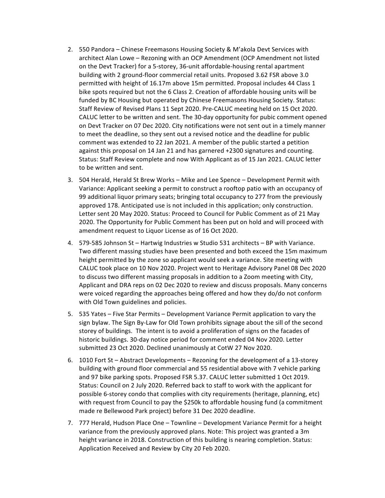- 2. 550 Pandora Chinese Freemasons Housing Society & M'akola Devt Services with architect Alan Lowe - Rezoning with an OCP Amendment (OCP Amendment not listed on the Devt Tracker) for a 5-storey, 36-unit affordable-housing rental apartment building with 2 ground-floor commercial retail units. Proposed 3.62 FSR above 3.0 permitted with height of 16.17m above 15m permitted. Proposal includes 44 Class 1 bike spots required but not the 6 Class 2. Creation of affordable housing units will be funded by BC Housing but operated by Chinese Freemasons Housing Society. Status: Staff Review of Revised Plans 11 Sept 2020. Pre-CALUC meeting held on 15 Oct 2020. CALUC letter to be written and sent. The 30-day opportunity for pubic comment opened on Devt Tracker on 07 Dec 2020. City notifications were not sent out in a timely manner to meet the deadline, so they sent out a revised notice and the deadline for public comment was extended to 22 Jan 2021. A member of the public started a petition against this proposal on 14 Jan 21 and has garnered +2300 signatures and counting. Status: Staff Review complete and now With Applicant as of 15 Jan 2021. CALUC letter to be written and sent.
- 3. 504 Herald, Herald St Brew Works Mike and Lee Spence Development Permit with Variance: Applicant seeking a permit to construct a rooftop patio with an occupancy of 99 additional liquor primary seats; bringing total occupancy to 277 from the previously approved 178. Anticipated use is not included in this application; only construction. Letter sent 20 May 2020. Status: Proceed to Council for Public Comment as of 21 May 2020. The Opportunity for Public Comment has been put on hold and will proceed with amendment request to Liquor License as of 16 Oct 2020.
- 4. 579-585 Johnson St Hartwig Industries w Studio 531 architects BP with Variance. Two different massing studies have been presented and both exceed the 15m maximum height permitted by the zone so applicant would seek a variance. Site meeting with CALUC took place on 10 Nov 2020. Project went to Heritage Advisory Panel 08 Dec 2020 to discuss two different massing proposals in addition to a Zoom meeting with City, Applicant and DRA reps on 02 Dec 2020 to review and discuss proposals. Many concerns were voiced regarding the approaches being offered and how they do/do not conform with Old Town guidelines and policies.
- 5. 535 Yates Five Star Permits Development Variance Permit application to vary the sign bylaw. The Sign By-Law for Old Town prohibits signage about the sill of the second storey of buildings. The intent is to avoid a proliferation of signs on the facades of historic buildings. 30-day notice period for comment ended 04 Nov 2020. Letter submitted 23 Oct 2020. Declined unanimously at CotW 27 Nov 2020.
- 6. 1010 Fort St Abstract Developments Rezoning for the development of a 13-storey building with ground floor commercial and 55 residential above with 7 vehicle parking and 97 bike parking spots. Proposed FSR 5.37. CALUC letter submitted 1 Oct 2019. Status: Council on 2 July 2020. Referred back to staff to work with the applicant for possible 6-storey condo that complies with city requirements (heritage, planning, etc) with request from Council to pay the \$250k to affordable housing fund (a commitment made re Bellewood Park project) before 31 Dec 2020 deadline.
- 7. 777 Herald, Hudson Place One Townline Development Variance Permit for a height variance from the previously approved plans. Note: This project was granted a 3m height variance in 2018. Construction of this building is nearing completion. Status: Application Received and Review by City 20 Feb 2020.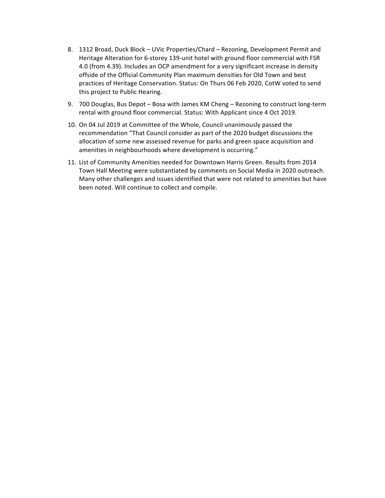- 8. 1312 Broad, Duck Block UVic Properties/Chard Rezoning, Development Permit and Heritage Alteration for 6-storey 139-unit hotel with ground floor commercial with FSR 4.0 (from 4.39). Includes an OCP amendment for a very significant increase in density offside of the Official Community Plan maximum densities for Old Town and best practices of Heritage Conservation. Status: On Thurs 06 Feb 2020, CotW voted to send this project to Public Hearing.
- 9. 700 Douglas, Bus Depot Bosa with James KM Cheng Rezoning to construct long-term rental with ground floor commercial. Status: With Applicant since 4 Oct 2019.
- 10. On 04 Jul 2019 at Committee of the Whole, Council unanimously passed the recommendation "That Council consider as part of the 2020 budget discussions the allocation of some new assessed revenue for parks and green space acquisition and amenities in neighbourhoods where development is occurring."
- 11. List of Community Amenities needed for Downtown Harris Green. Results from 2014 Town Hall Meeting were substantiated by comments on Social Media in 2020 outreach. Many other challenges and issues identified that were not related to amenities but have been noted. Will continue to collect and compile.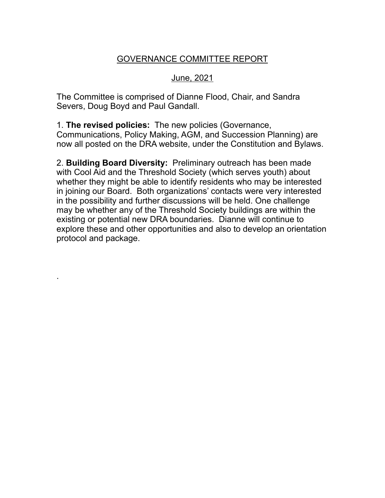# GOVERNANCE COMMITTEE REPORT

# June, 2021

The Committee is comprised of Dianne Flood, Chair, and Sandra Severs, Doug Boyd and Paul Gandall.

1. **The revised policies:** The new policies (Governance, Communications, Policy Making, AGM, and Succession Planning) are now all posted on the DRA website, under the Constitution and Bylaws.

2. **Building Board Diversity:** Preliminary outreach has been made with Cool Aid and the Threshold Society (which serves youth) about whether they might be able to identify residents who may be interested in joining our Board. Both organizations' contacts were very interested in the possibility and further discussions will be held. One challenge may be whether any of the Threshold Society buildings are within the existing or potential new DRA boundaries. Dianne will continue to explore these and other opportunities and also to develop an orientation protocol and package.

.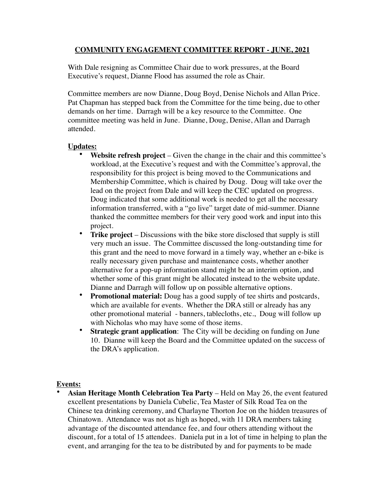# **COMMUNITY ENGAGEMENT COMMITTEE REPORT - JUNE, 2021**

With Dale resigning as Committee Chair due to work pressures, at the Board Executive's request, Dianne Flood has assumed the role as Chair.

Committee members are now Dianne, Doug Boyd, Denise Nichols and Allan Price. Pat Chapman has stepped back from the Committee for the time being, due to other demands on her time. Darragh will be a key resource to the Committee. One committee meeting was held in June. Dianne, Doug, Denise, Allan and Darragh attended.

# **Updates:**

- **Website refresh project** Given the change in the chair and this committee's workload, at the Executive's request and with the Committee's approval, the responsibility for this project is being moved to the Communications and Membership Committee, which is chaired by Doug. Doug will take over the lead on the project from Dale and will keep the CEC updated on progress. Doug indicated that some additional work is needed to get all the necessary information transferred, with a "go live" target date of mid-summer. Dianne thanked the committee members for their very good work and input into this project.
- **Trike project** Discussions with the bike store disclosed that supply is still very much an issue. The Committee discussed the long-outstanding time for this grant and the need to move forward in a timely way, whether an e-bike is really necessary given purchase and maintenance costs, whether another alternative for a pop-up information stand might be an interim option, and whether some of this grant might be allocated instead to the website update. Dianne and Darragh will follow up on possible alternative options.
- **Promotional material:** Doug has a good supply of tee shirts and postcards, which are available for events. Whether the DRA still or already has any other promotional material - banners, tablecloths, etc., Doug will follow up with Nicholas who may have some of those items.
- **Strategic grant application**: The City will be deciding on funding on June 10. Dianne will keep the Board and the Committee updated on the success of the DRA's application.

# **Events:**

• **Asian Heritage Month Celebration Tea Party** – Held on May 26, the event featured excellent presentations by Daniela Cubelic, Tea Master of Silk Road Tea on the Chinese tea drinking ceremony, and Charlayne Thorton Joe on the hidden treasures of Chinatown. Attendance was not as high as hoped, with 11 DRA members taking advantage of the discounted attendance fee, and four others attending without the discount, for a total of 15 attendees. Daniela put in a lot of time in helping to plan the event, and arranging for the tea to be distributed by and for payments to be made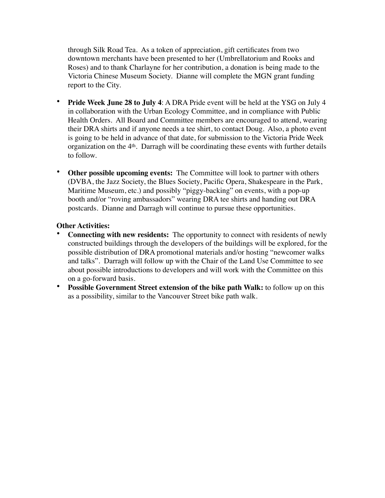through Silk Road Tea. As a token of appreciation, gift certificates from two downtown merchants have been presented to her (Umbrellatorium and Rooks and Roses) and to thank Charlayne for her contribution, a donation is being made to the Victoria Chinese Museum Society. Dianne will complete the MGN grant funding report to the City.

- **Pride Week June 28 to July 4**: A DRA Pride event will be held at the YSG on July 4 in collaboration with the Urban Ecology Committee, and in compliance with Public Health Orders. All Board and Committee members are encouraged to attend, wearing their DRA shirts and if anyone needs a tee shirt, to contact Doug. Also, a photo event is going to be held in advance of that date, for submission to the Victoria Pride Week organization on the 4th. Darragh will be coordinating these events with further details to follow.
- **Other possible upcoming events:** The Committee will look to partner with others (DVBA, the Jazz Society, the Blues Society, Pacific Opera, Shakespeare in the Park, Maritime Museum, etc.) and possibly "piggy-backing" on events, with a pop-up booth and/or "roving ambassadors" wearing DRA tee shirts and handing out DRA postcards. Dianne and Darragh will continue to pursue these opportunities.

# **Other Activities:**

- **Connecting with new residents:** The opportunity to connect with residents of newly constructed buildings through the developers of the buildings will be explored, for the possible distribution of DRA promotional materials and/or hosting "newcomer walks and talks". Darragh will follow up with the Chair of the Land Use Committee to see about possible introductions to developers and will work with the Committee on this on a go-forward basis.
- **Possible Government Street extension of the bike path Walk:** to follow up on this as a possibility, similar to the Vancouver Street bike path walk.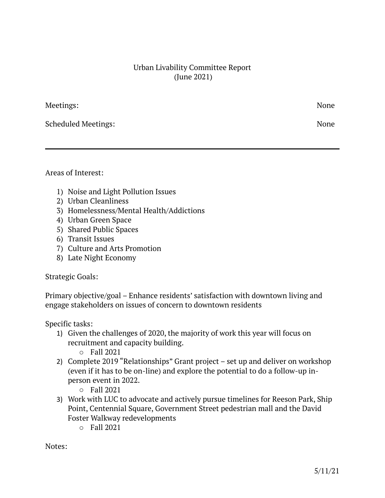# Urban Livability Committee Report (June 2021)

Meetings: None

Scheduled Meetings: None

Areas of Interest:

- 1) Noise and Light Pollution Issues
- 2) Urban Cleanliness
- 3) Homelessness/Mental Health/Addictions
- 4) Urban Green Space
- 5) Shared Public Spaces
- 6) Transit Issues
- 7) Culture and Arts Promotion
- 8) Late Night Economy

# Strategic Goals:

Primary objective/goal – Enhance residents' satisfaction with downtown living and engage stakeholders on issues of concern to downtown residents

Specific tasks:

- 1) Given the challenges of 2020, the majority of work this year will focus on recruitment and capacity building.
	- o Fall 2021
- 2) Complete 2019 "Relationships" Grant project set up and deliver on workshop (even if it has to be on-line) and explore the potential to do a follow-up inperson event in 2022.
	- o Fall 2021
- 3) Work with LUC to advocate and actively pursue timelines for Reeson Park, Ship Point, Centennial Square, Government Street pedestrian mall and the David Foster Walkway redevelopments
	- o Fall 2021

Notes: